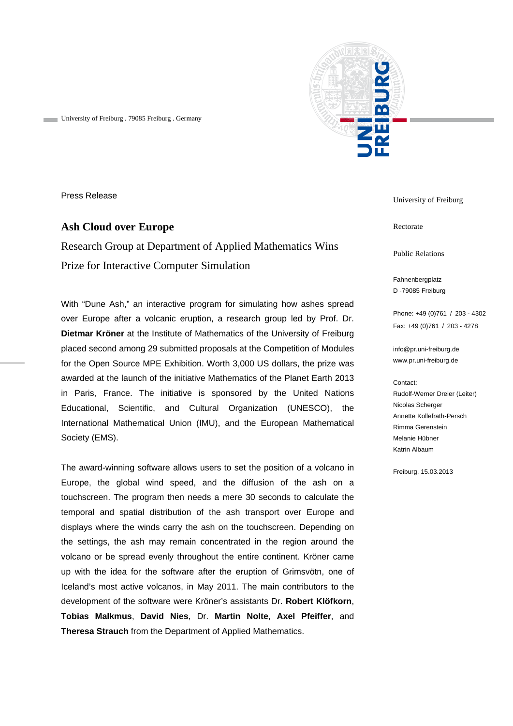

University of Freiburg . 79085 Freiburg . Germany

Press Release

# **Ash Cloud over Europe**

Research Group at Department of Applied Mathematics Wins Prize for Interactive Computer Simulation

With "Dune Ash," an interactive program for simulating how ashes spread over Europe after a volcanic eruption, a research group led by Prof. Dr. **Dietmar Kröner** at the Institute of Mathematics of the University of Freiburg placed second among 29 submitted proposals at the Competition of Modules for the Open Source MPE Exhibition. Worth 3,000 US dollars, the prize was awarded at the launch of the initiative Mathematics of the Planet Earth 2013 in Paris, France. The initiative is sponsored by the United Nations Educational, Scientific, and Cultural Organization (UNESCO), the International Mathematical Union (IMU), and the European Mathematical Society (EMS).

The award-winning software allows users to set the position of a volcano in Europe, the global wind speed, and the diffusion of the ash on a touchscreen. The program then needs a mere 30 seconds to calculate the temporal and spatial distribution of the ash transport over Europe and displays where the winds carry the ash on the touchscreen. Depending on the settings, the ash may remain concentrated in the region around the volcano or be spread evenly throughout the entire continent. Kröner came up with the idea for the software after the eruption of Grimsvötn, one of Iceland's most active volcanos, in May 2011. The main contributors to the development of the software were Kröner's assistants Dr. **Robert Klöfkorn**, **Tobias Malkmus**, **David Nies**, Dr. **Martin Nolte**, **Axel Pfeiffer**, and **Theresa Strauch** from the Department of Applied Mathematics.

University of Freiburg

Rectorate

Public Relations

Fahnenbergplatz D -79085 Freiburg

Phone: +49 (0)761 / 203 - 4302 Fax: +49 (0)761 / 203 - 4278

info@pr.uni-freiburg.de www.pr.uni-freiburg.de

#### Contact:

Rudolf-Werner Dreier (Leiter) Nicolas Scherger Annette Kollefrath-Persch Rimma Gerenstein Melanie Hübner Katrin Albaum

Freiburg, 15.03.2013